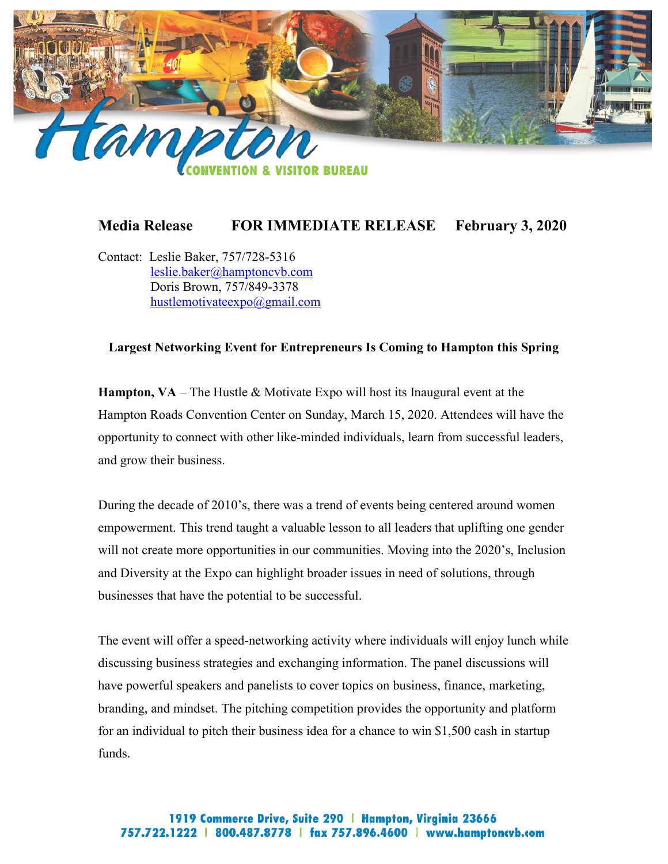

## **Media Release FOR IMMEDIATE RELEASE February 3, 2020**

Contact: Leslie Baker, 757/728-5316 [leslie.baker@hamptoncvb.com](mailto:leslie.baker@hamptoncvb.com) Doris Brown, 757/849-3378 [hustlemotivateexpo@gmail.com](mailto:hustlemotivateexpo@gmail.com)

## **Largest Networking Event for Entrepreneurs Is Coming to Hampton this Spring**

**Hampton, VA** – The Hustle & Motivate Expo will host its Inaugural event at the Hampton Roads Convention Center on Sunday, March 15, 2020. Attendees will have the opportunity to connect with other like-minded individuals, learn from successful leaders, and grow their business.

During the decade of 2010's, there was a trend of events being centered around women empowerment. This trend taught a valuable lesson to all leaders that uplifting one gender will not create more opportunities in our communities. Moving into the 2020's, Inclusion and Diversity at the Expo can highlight broader issues in need of solutions, through businesses that have the potential to be successful.

The event will offer a speed-networking activity where individuals will enjoy lunch while discussing business strategies and exchanging information. The panel discussions will have powerful speakers and panelists to cover topics on business, finance, marketing, branding, and mindset. The pitching competition provides the opportunity and platform for an individual to pitch their business idea for a chance to win \$1,500 cash in startup funds.